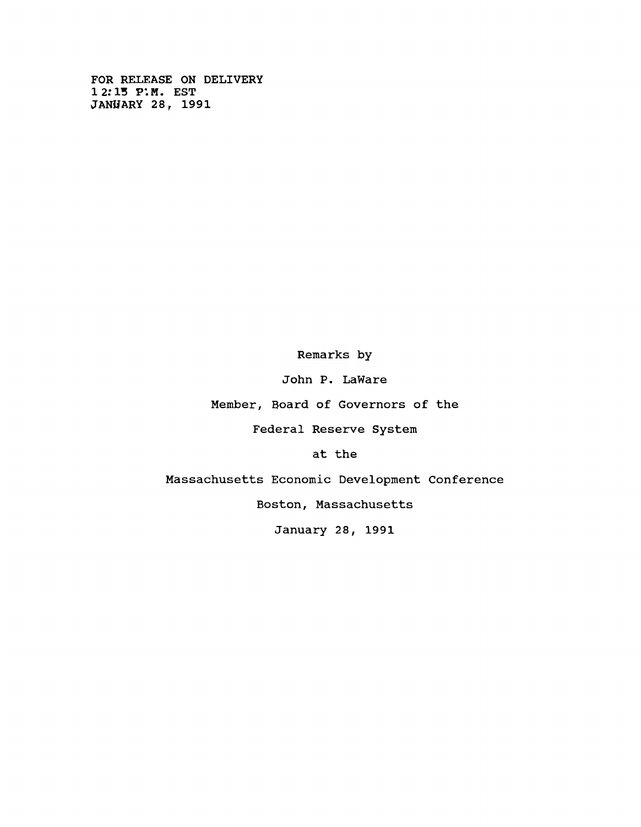**FOR RELEASE ON DELIVERY 12:13 P'.M. EST JANUARY 28, 1991**

**Remarks by**

**John P. LaWare**

**Member, Board of Governors of the**

**Federal Reserve System**

**at the**

**Massachusetts Economic Development Conference**

**Boston, Massachusetts**

**January 28, 1991**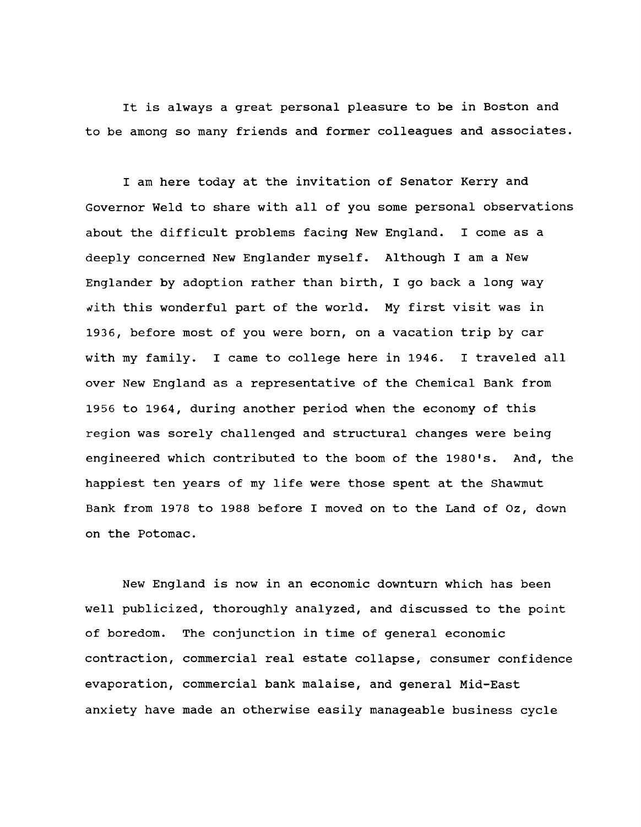**It is always a great personal pleasure to be in Boston and to be among so many friends and former colleagues and associates.**

**I am here today at the invitation of Senator Kerry and Governor Weld to share with all of you some personal observations about the difficult problems facing New England. I come as a deeply concerned New Englander myself. Although I am a New Englander by adoption rather than birth, I go back a long way** *with* **this wonderful part of the world. My first visit was in 1936, before most of you were born, on a vacation trip by car with my family. I came to college here in 1946. I traveled all over New England as a representative of the Chemical Bank from 1956 to 1964, during another period when the economy of this region was sorely challenged and structural changes were being engineered which contributed to the boom of the 1980's. And, the happiest ten years of my life were those spent at the Shawmut Bank from 1978 to 1988 before I moved on to the Land of Oz, down on the Potomac.**

**New England is now in an economic downturn which has been well publicized, thoroughly analyzed, and discussed to the point of boredom. The conjunction in time of general economic contraction, commercial real estate collapse, consumer confidence evaporation, commercial bank malaise, and general Mid-East anxiety have made an otherwise easily manageable business cycle**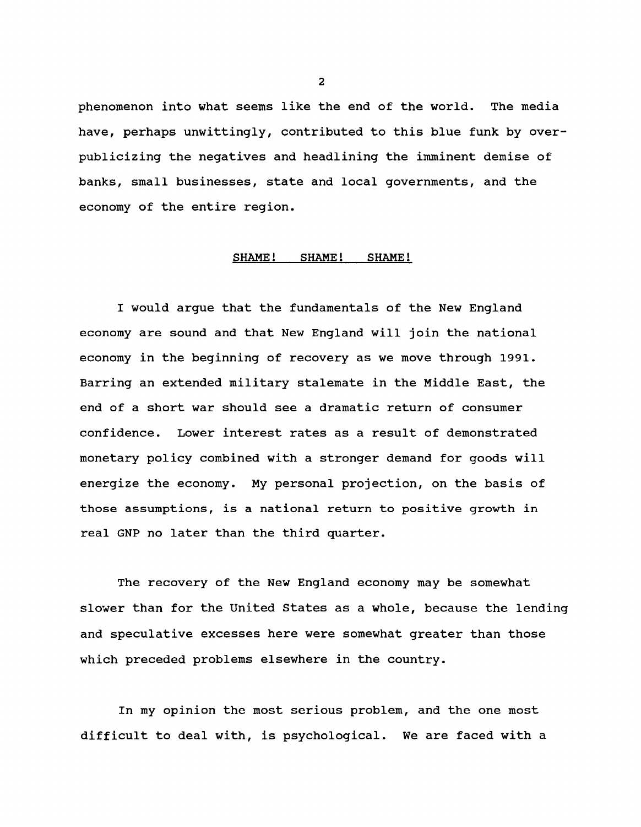**phenomenon into what seems like the end of the world. The media have, perhaps unwittingly, contributed to this blue funk by overpublicizing the negatives and headlining the imminent demise of banks, small businesses, state and local governments, and the economy of the entire region.**

## SHAME! SHAME! SHAME!

**I would argue that the fundamentals of the New England economy are sound and that New England will join the national economy in the beginning of recovery as we move through 1991. Barring an extended military stalemate in the Middle East, the end of a short war should see a dramatic return of consumer confidence. Lower interest rates as a result of demonstrated monetary policy combined with a stronger demand for goods will energize the economy. My personal projection, on the basis of those assumptions, is a national return to positive growth in real GNP no later than the third quarter.**

**The recovery of the New England economy may be somewhat slower than for the United States as a whole, because the lending and speculative excesses here were somewhat greater than those which preceded problems elsewhere in the country.**

**In my opinion the most serious problem, and the one most difficult to deal with, is psychological. We are faced with a**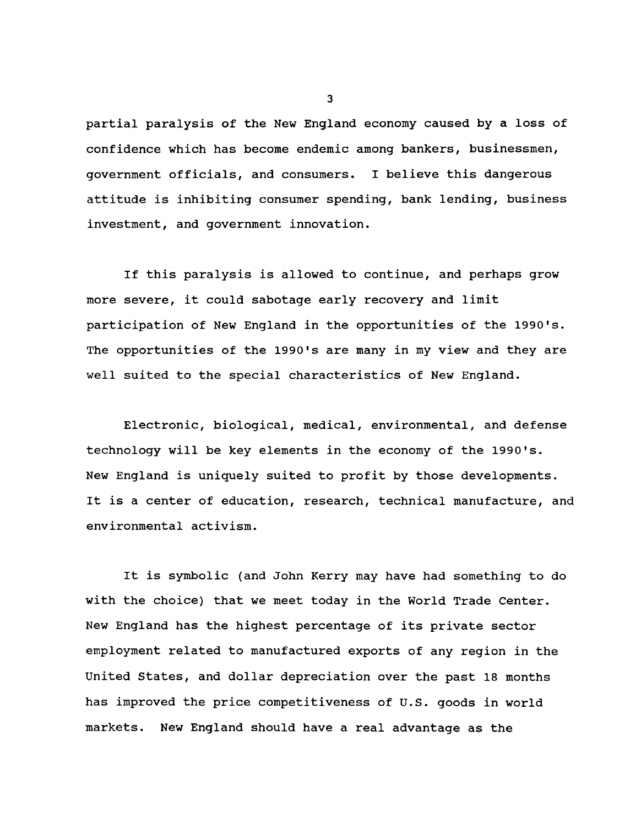**partial paralysis of the New England economy caused by a loss of confidence which has become endemic among bankers, businessmen, government officials, and consumers. I believe this dangerous attitude is inhibiting consumer spending, bank lending, business investment, and government innovation.**

**If this paralysis is allowed to continue, and perhaps grow more severe, it could sabotage early recovery and limit participation of New England in the opportunities of the 1990's. The opportunities of the 1990's are many in my view and they are well suited to the special characteristics of New England.**

**Electronic, biological, medical, environmental, and defense technology will be key elements in the economy of the 1990's. New England is uniquely suited to profit by those developments. It is a center of education, research, technical manufacture, and environmental activism.**

**It is symbolic (and John Kerry may have had something to do with the choice) that we meet today in the World Trade Center. New England has the highest percentage of its private sector employment related to manufactured exports of any region in the United States, and dollar depreciation over the past 18 months has improved the price competitiveness of U.S. goods in world markets. New England should have a real advantage as the**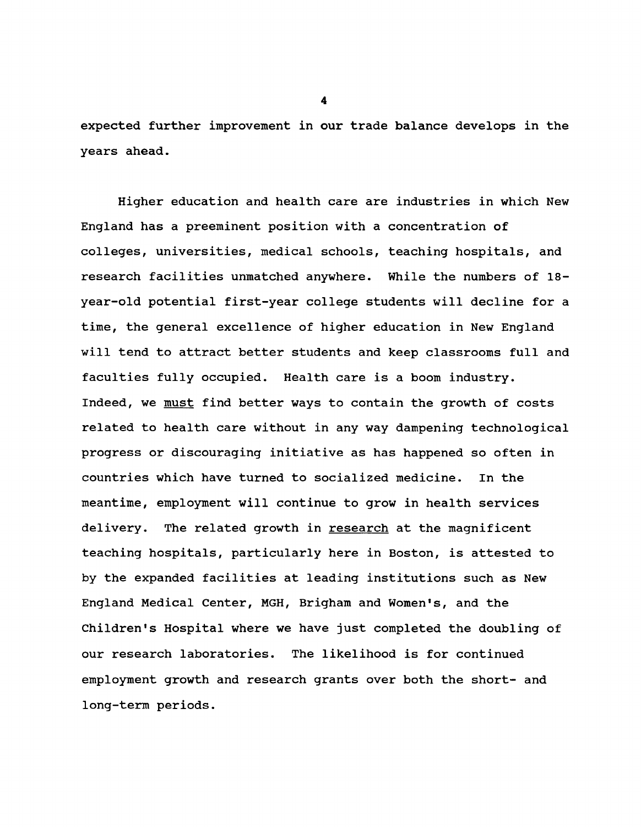**expected further improvement in our trade balance develops in the years ahead.**

**Higher education and health care are industries in which New England has a preeminent position with a concentration of colleges, universities, medical schools, teaching hospitals, and research facilities unmatched anywhere. While the numbers of 18 year-old potential first-year college students will decline for a time, the general excellence of higher education in New England will tend to attract better students and keep classrooms full and faculties fully occupied. Health care is a boom industry. Indeed, we must find better ways to contain the growth of costs related to health care without in any way dampening technological progress or discouraging initiative as has happened so often in countries which have turned to socialized medicine. In the meantime, employment will continue to grow in health services delivery. The related growth in research at the magnificent teaching hospitals, particularly here in Boston, is attested to by the expanded facilities at leading institutions such as New England Medical Center, MGH, Brigham and Women's, and the Children's Hospital where we have just completed the doubling of our research laboratories. The likelihood is for continued employment growth and research grants over both the short- and long-term periods.**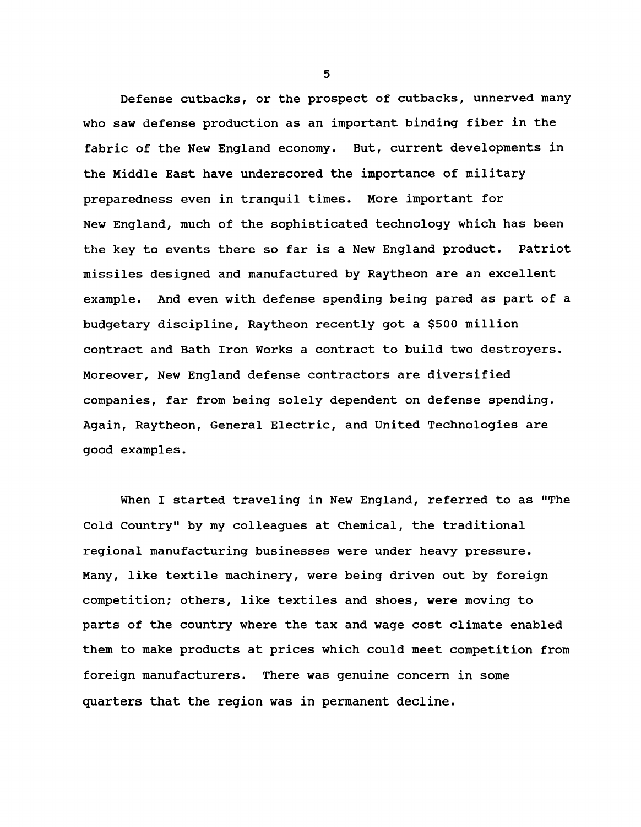**Defense cutbacks, or the prospect of cutbacks, unnerved many who saw defense production as an important binding fiber in the fabric of the New England economy. But, current developments in the Middle East have underscored the importance of military preparedness even in tranquil times. More important for New England, much of the sophisticated technology which has been the key to events there so far is a New England product. Patriot missiles designed and manufactured by Raytheon are an excellent example. And even with defense spending being pared as part of a budgetary discipline, Raytheon recently got a \$500 million contract and Bath Iron Works a contract to build two destroyers. Moreover, New England defense contractors are diversified companies, far from being solely dependent on defense spending. Again, Raytheon, General Electric, and United Technologies are good examples.**

**When I started traveling in New England, referred to as "The Cold Country" by my colleagues at Chemical, the traditional regional manufacturing businesses were under heavy pressure. Many, like textile machinery, were being driven out by foreign competition; others, like textiles and shoes, were moving to parts of the country where the tax and wage cost climate enabled them to make products at prices which could meet competition from foreign manufacturers. There was genuine concern in some quarters that the region was in permanent decline.**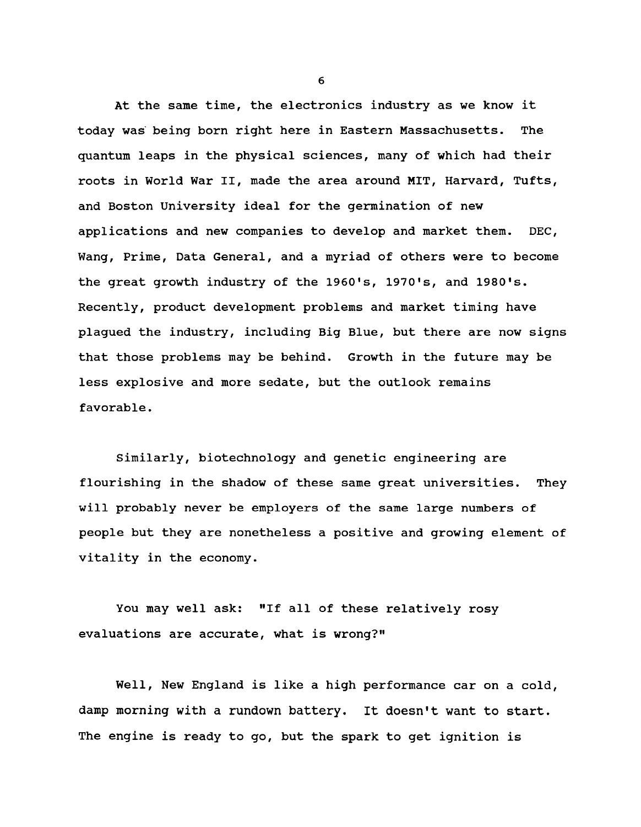**At the same time, the electronics industry as we know it today was being born right here in Eastern Massachusetts. The quantum leaps in the physical sciences, many of which had their roots in World War II, made the area around MIT, Harvard, Tufts, and Boston University ideal for the germination of new applications and new companies to develop and market them. DEC, Wang, Prime, Data General, and a myriad of others were to become the great growth industry of the 1960's, 1970's, and 1980's. Recently, product development problems and market timing have plagued the industry, including Big Blue, but there are now signs that those problems may be behind. Growth in the future may be less explosive and more sedate, but the outlook remains favorable.**

**Similarly, biotechnology and genetic engineering are flourishing in the shadow of these same great universities. They will probably never be employers of the same large numbers of people but they are nonetheless a positive and growing element of vitality in the economy.**

**You may well ask: "If all of these relatively rosy evaluations are accurate, what is wrong?"**

**Well, New England is like a high performance car on a cold, damp morning with a rundown battery. It doesn't want to start. The engine is ready to go, but the spark to get ignition is**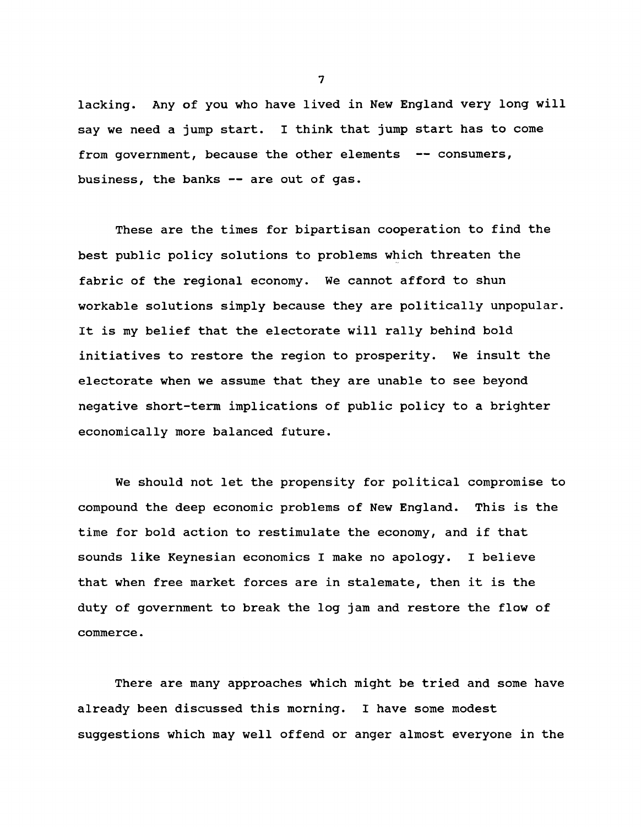**lacking. Any of you who have lived in New England very long will say we need a jump start. I think that jump start has to come from government, because the other elements — consumers, business, the banks — are out of gas.**

**These are the times for bipartisan cooperation to find the best public policy solutions to problems which threaten the fabric of the regional economy. We cannot afford to shun workable solutions simply because they are politically unpopular. It is my belief that the electorate will rally behind bold initiatives to restore the region to prosperity. We insult the electorate when we assume that they are unable to see beyond negative short-term implications of public policy to a brighter economically more balanced future.**

**We should not let the propensity for political compromise to compound the deep economic problems of New England. This is the time for bold action to restimulate the economy, and if that sounds like Keynesian economics I make no apology. I believe that when free market forces are in stalemate, then it is the duty of government to break the log jam and restore the flow of commerce.**

**There are many approaches which might be tried and some have already been discussed this morning. I have some modest suggestions which may well offend or anger almost everyone in the**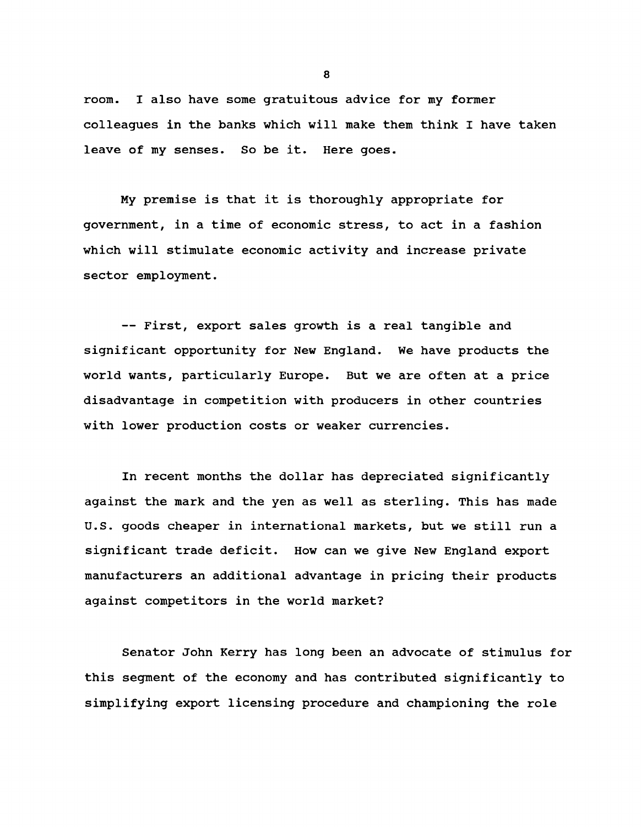**room. I also have some gratuitous advice for my former colleagues in the banks which will make them think I have taken leave of my senses. So be it. Here goes.**

**My premise is that it is thoroughly appropriate for government, in a time of economic stress, to act in a fashion which will stimulate economic activity and increase private sector employment.**

**— First, export sales growth is a real tangible and significant opportunity for New England. We have products the world wants, particularly Europe. But we are often at a price disadvantage in competition with producers in other countries with lower production costs or weaker currencies.**

**In recent months the dollar has depreciated significantly against the mark and the yen as well as sterling. This has made U.S. goods cheaper in international markets, but we still run a significant trade deficit. How can we give New England export manufacturers an additional advantage in pricing their products against competitors in the world market?**

**Senator John Kerry has long been an advocate of stimulus for this segment of the economy and has contributed significantly to simplifying export licensing procedure and championing the role**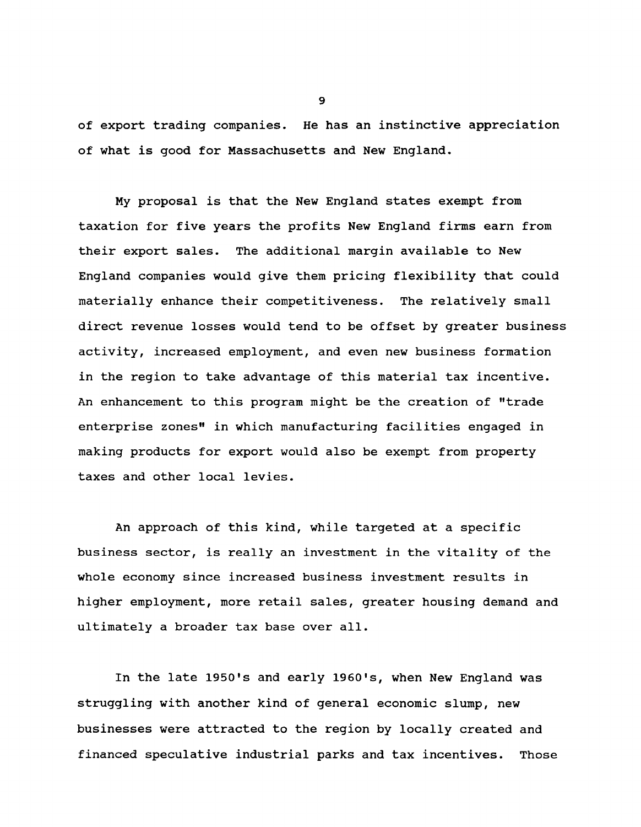**of export trading companies. He has an instinctive appreciation of what is good for Massachusetts and New England.**

**My proposal is that the New England states exempt from taxation for five years the profits New England firms earn from their export sales. The additional margin available to New England companies would give them pricing flexibility that could materially enhance their competitiveness. The relatively small direct revenue losses would tend to be offset by greater business activity, increased employment, and even new business formation in the region to take advantage of this material tax incentive. An enhancement to this program might be the creation of "trade enterprise zones" in which manufacturing facilities engaged in making products for export would also be exempt from property taxes and other local levies.**

**An approach of this kind, while targeted at a specific business sector, is really an investment in the vitality of the whole economy since increased business investment results in higher employment, more retail sales, greater housing demand and ultimately a broader tax base over all.**

**In the late 1950\*s and early 1960's, when New England was struggling with another kind of general economic slump, new businesses were attracted to the region by locally created and financed speculative industrial parks and tax incentives. Those**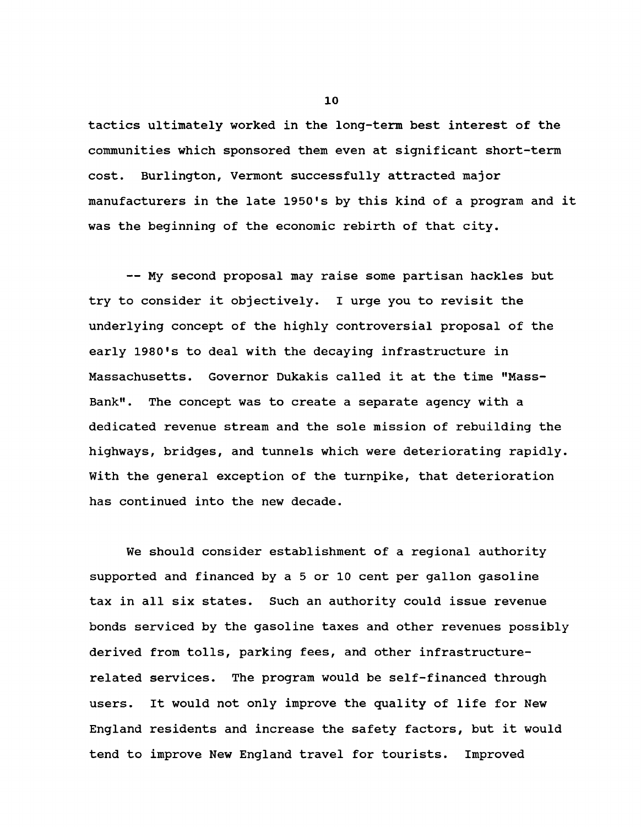**tactics ultimately worked in the long-term best interest of the communities which sponsored them even at significant short-term cost. Burlington, Vermont successfully attracted major manufacturers in the late 1950's by this kind of a program and it was the beginning of the economic rebirth of that city.**

**— My second proposal may raise some partisan hackles but try to consider it objectively. I urge you to revisit the underlying concept of the highly controversial proposal of the early 1980's to deal with the decaying infrastructure in Massachusetts. Governor Dukakis called it at the time "Mass-Bank". The concept was to create a separate agency with a dedicated revenue stream and the sole mission of rebuilding the highways, bridges, and tunnels which were deteriorating rapidly. With the general exception of the turnpike, that deterioration has continued into the new decade.**

**We should consider establishment of a regional authority supported and financed by a 5 or 10 cent per gallon gasoline tax in all six states. Such an authority could issue revenue bonds serviced by the gasoline taxes and other revenues possibly derived from tolls, parking fees, and other infrastructurerelated services. The program would be self-financed through users. It would not only improve the quality of life for New England residents and increase the safety factors, but it would tend to improve New England travel for tourists. Improved**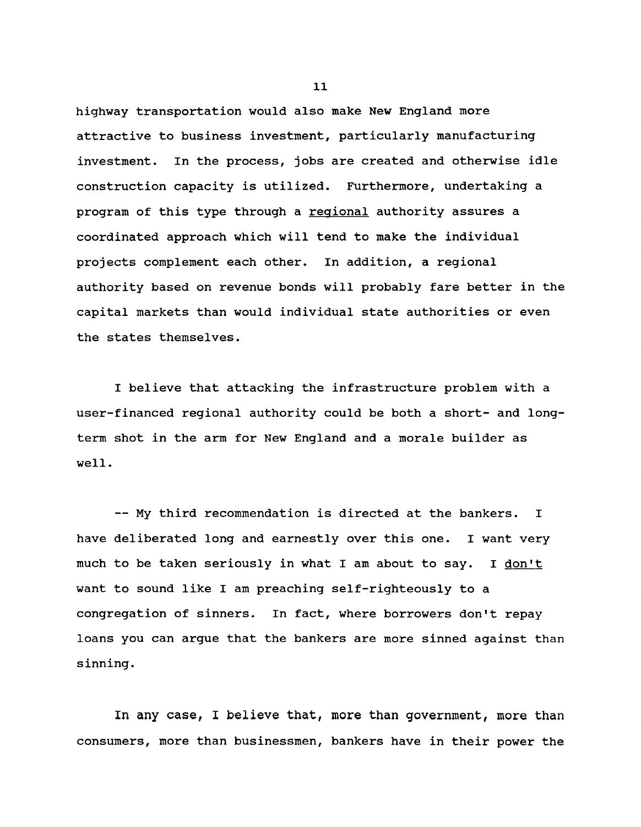**highway transportation would also make New England more attractive to business investment, particularly manufacturing investment. In the process, jobs are created and otherwise idle construction capacity is utilized. Furthermore, undertaking a program of this type through a regional authority assures a coordinated approach which will tend to make the individual projects complement each other. In addition, a regional authority based on revenue bonds will probably fare better in the capital markets than would individual state authorities or even the states themselves.**

**I believe that attacking the infrastructure problem with a user-financed regional authority could be both a short- and longterm shot in the arm for New England and a morale builder as well.**

**— My third recommendation is directed at the bankers. I have deliberated long and earnestly over this one. I want very** much to be taken seriously in what I am about to say. I don't **want to sound like I am preaching self-righteously to a congregation of sinners. In fact, where borrowers don't repay loans you can argue that the bankers are more sinned against than sinning.**

**In any case, I believe that, more than government, more than consumers, more than businessmen, bankers have in their power the**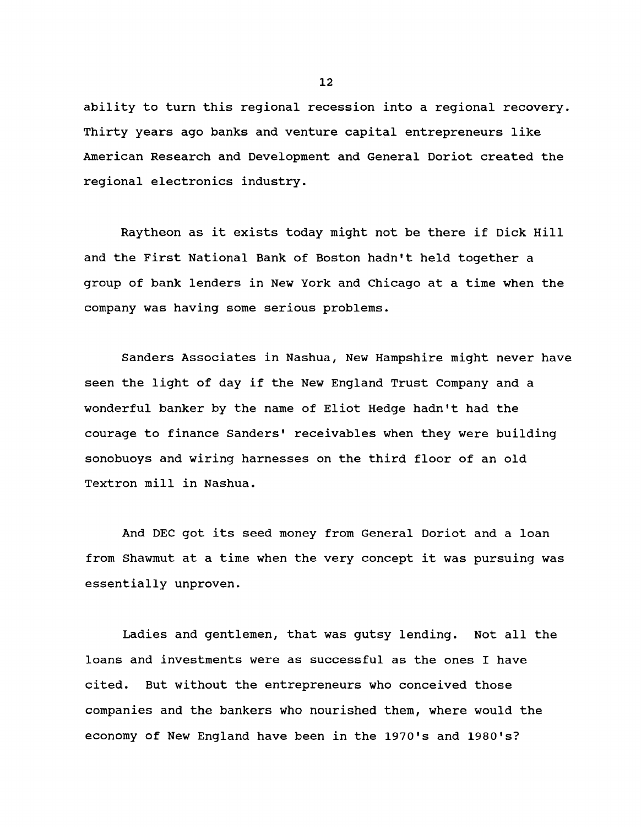**ability to turn this regional recession into a regional recovery. Thirty years ago banks and venture capital entrepreneurs like American Research and Development and General Doriot created the regional electronics industry.**

**Raytheon as it exists today might not be there if Dick Hill and the First National Bank of Boston hadn't held together a group of bank lenders in New York and Chicago at a time when the company was having some serious problems.**

**Sanders Associates in Nashua, New Hampshire might never have seen the light of day if the New England Trust Company and a wonderful banker by the name of Eliot Hedge hadn't had the courage to finance Sanders' receivables when they were building sonobuoys and wiring harnesses on the third floor of an old Textron mill in Nashua.**

**And DEC got its seed money from General Doriot and a loan from Shawmut at a time when the very concept it was pursuing was essentially unproven.**

**Ladies and gentlemen, that was gutsy lending. Not all the loans and investments were as successful as the ones I have cited. But without the entrepreneurs who conceived those companies and the bankers who nourished them, where would the economy of New England have been in the 1970's and 1980's?**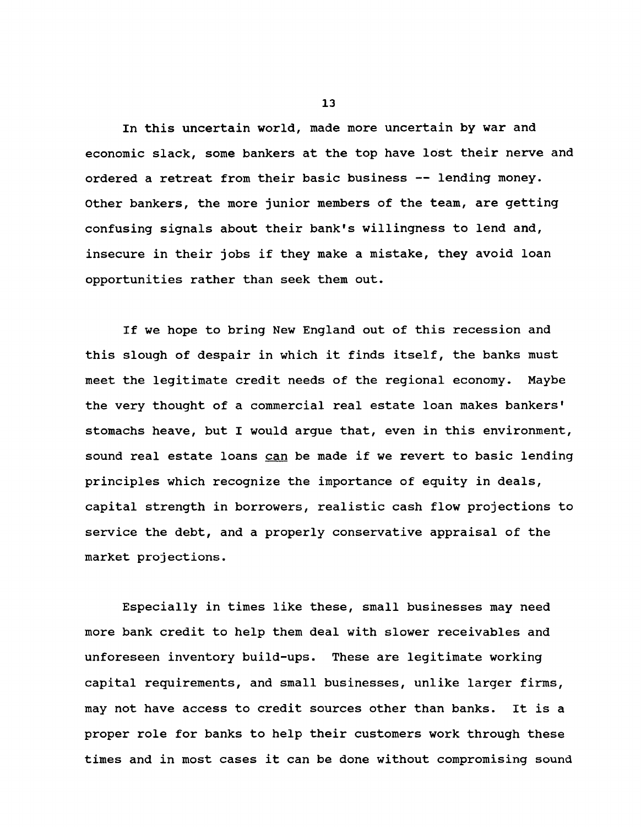**In this uncertain world, made more uncertain by war and economic slack, some bankers at the top have lost their nerve and ordered a retreat from their basic business — lending money. Other bankers, the more junior members of the team, are getting confusing signals about their bank's willingness to lend and, insecure in their jobs if they make a mistake, they avoid loan opportunities rather than seek them out.**

**If we hope to bring New England out of this recession and this slough of despair in which it finds itself, the banks must meet the legitimate credit needs of the regional economy. Maybe the very thought of a commercial real estate loan makes bankers' stomachs heave, but I would argue that, even in this environment, sound real estate loans can be made if we revert to basic lending principles which recognize the importance of equity in deals, capital strength in borrowers, realistic cash flow projections to service the debt, and a properly conservative appraisal of the market projections.**

**Especially in times like these, small businesses may need more bank credit to help them deal with slower receivables and unforeseen inventory build-ups. These are legitimate working capital requirements, and small businesses, unlike larger firms, may not have access to credit sources other than banks. It is a proper role for banks to help their customers work through these times and in most cases it can be done without compromising sound**